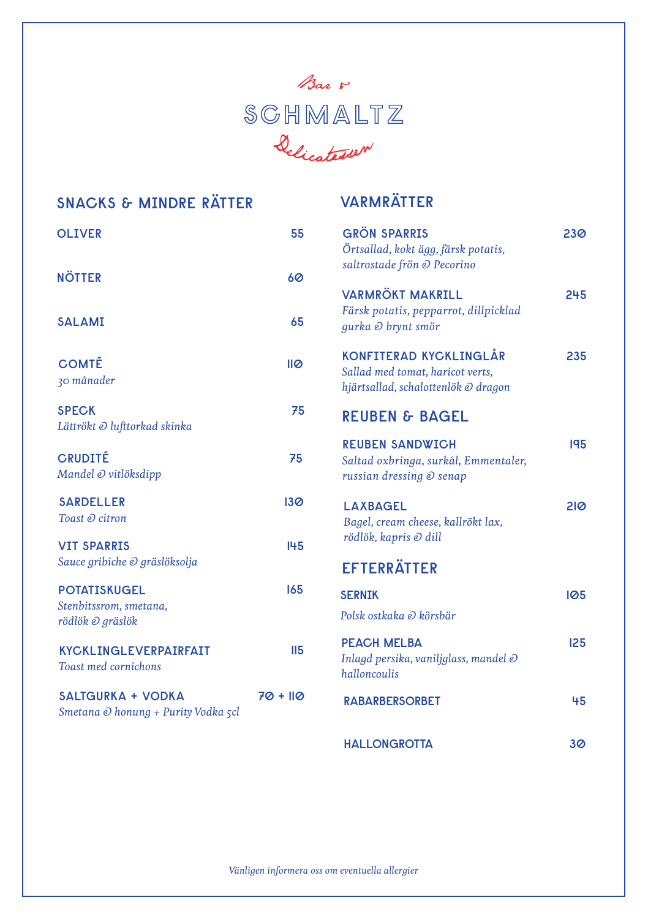

| <b>SNACKS &amp; MINDRE RÄTTER</b>                                      |                 | <b>VARMRÄTTER</b>                                                                                        |     |
|------------------------------------------------------------------------|-----------------|----------------------------------------------------------------------------------------------------------|-----|
| <b>OLIVER</b>                                                          | 55              | <b>GRÖN SPARRIS</b><br>Örtsallad, kokt ägg, färsk potatis,                                               | 230 |
| <b>NÖTTER</b>                                                          | 60              | saltrostade frön @ Pecorino                                                                              |     |
| <b>SALAMI</b>                                                          | 65              | <b>VARMRÖKT MAKRILL</b><br>Färsk potatis, pepparrot, dillpicklad<br>gurka @ brynt smör                   | 245 |
| <b>COMTÉ</b><br>30 månader                                             | IIQ             | <b>KONFITERAD KYCKLINGLÅR</b><br>Sallad med tomat, haricot verts,<br>hjärtsallad, schalottenlök @ dragon | 235 |
| <b>SPECK</b><br>Lättrökt @ lufttorkad skinka                           | 75              | <b>REUBEN &amp; BAGEL</b>                                                                                |     |
| <b>CRUDITÉ</b><br>Mandel @ vitlöksdipp                                 | 75              | <b>REUBEN SANDWICH</b><br>Saltad oxbringa, surkål, Emmentaler,<br>russian dressing @ senap               | 195 |
| <b>SARDELLER</b><br>Toast @ citron                                     | 130             | <b>LAXBAGEL</b><br>Bagel, cream cheese, kallrökt lax,                                                    | 210 |
| <b>VIT SPARRIS</b><br>Sauce gribiche @ gräslöksolja                    | 145             | rödlök, kapris @ dill<br><b>EFTERRÄTTER</b>                                                              |     |
| <b>POTATISKUGEL</b><br>Stenbitssrom, smetana,<br>rödlök @ gräslök      | 165             | <b>SERNIK</b><br>Polsk ostkaka @ körsbär                                                                 | 105 |
| <b>KYCKLINGLEVERPAIRFAIT</b><br><b>Toast med cornichons</b>            | II <sub>5</sub> | <b>PEACH MELBA</b><br>Inlagd persika, vaniljglass, mandel @<br>halloncoulis                              | 125 |
| <b>SALTGURKA + VODKA</b><br>Smetana <i>©</i> honung + Purity Vodka 5cl | $70 + 110$      | <b>RABARBERSORBET</b>                                                                                    | 45  |
|                                                                        |                 | <b>HALLONGROTTA</b>                                                                                      | 30  |